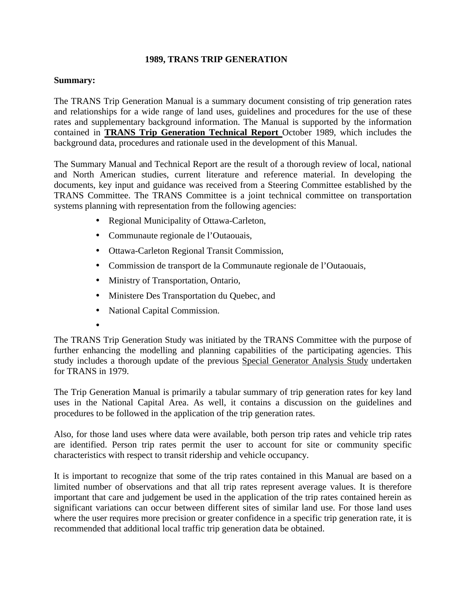## **1989, TRANS TRIP GENERATION**

## **Summary:**

The TRANS Trip Generation Manual is a summary document consisting of trip generation rates and relationships for a wide range of land uses, guidelines and procedures for the use of these rates and supplementary background information. The Manual is supported by the information contained in **TRANS Trip Generation Technical Report** October 1989, which includes the background data, procedures and rationale used in the development of this Manual.

The Summary Manual and Technical Report are the result of a thorough review of local, national and North American studies, current literature and reference material. In developing the documents, key input and guidance was received from a Steering Committee established by the TRANS Committee. The TRANS Committee is a joint technical committee on transportation systems planning with representation from the following agencies:

- Regional Municipality of Ottawa-Carleton,
- Communaute regionale de l'Outaouais,
- Ottawa-Carleton Regional Transit Commission,
- Commission de transport de la Communaute regionale de l'Outaouais,
- Ministry of Transportation, Ontario,
- Ministere Des Transportation du Quebec, and
- National Capital Commission.
- •

The TRANS Trip Generation Study was initiated by the TRANS Committee with the purpose of further enhancing the modelling and planning capabilities of the participating agencies. This study includes a thorough update of the previous Special Generator Analysis Study undertaken for TRANS in 1979.

The Trip Generation Manual is primarily a tabular summary of trip generation rates for key land uses in the National Capital Area. As well, it contains a discussion on the guidelines and procedures to be followed in the application of the trip generation rates.

Also, for those land uses where data were available, both person trip rates and vehicle trip rates are identified. Person trip rates permit the user to account for site or community specific characteristics with respect to transit ridership and vehicle occupancy.

It is important to recognize that some of the trip rates contained in this Manual are based on a limited number of observations and that all trip rates represent average values. It is therefore important that care and judgement be used in the application of the trip rates contained herein as significant variations can occur between different sites of similar land use. For those land uses where the user requires more precision or greater confidence in a specific trip generation rate, it is recommended that additional local traffic trip generation data be obtained.